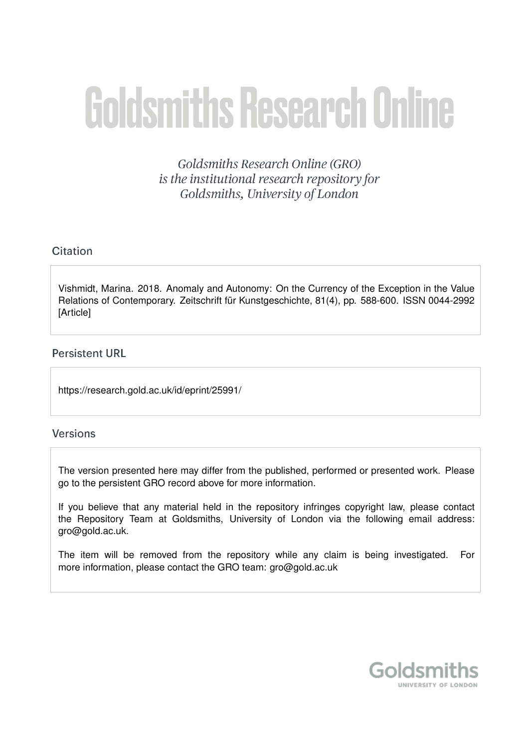# **Goldsmiths Research Online**

Goldsmiths Research Online (GRO) is the institutional research repository for Goldsmiths, University of London

# Citation

Vishmidt, Marina. 2018. Anomaly and Autonomy: On the Currency of the Exception in the Value Relations of Contemporary. Zeitschrift für Kunstgeschichte, 81(4), pp. 588-600. ISSN 0044-2992 **[Article]** 

## **Persistent URL**

https://research.gold.ac.uk/id/eprint/25991/

## **Versions**

The version presented here may differ from the published, performed or presented work. Please go to the persistent GRO record above for more information.

If you believe that any material held in the repository infringes copyright law, please contact the Repository Team at Goldsmiths, University of London via the following email address: gro@gold.ac.uk.

The item will be removed from the repository while any claim is being investigated. For more information, please contact the GRO team: gro@gold.ac.uk

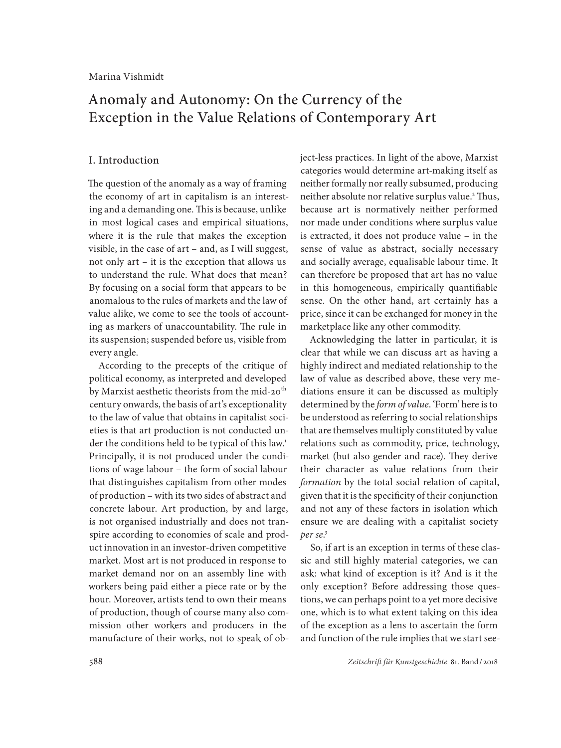# Anomaly and Autonomy: On the Currency of the Exception in the Value Relations of Contemporary Art

#### I. Introduction

The question of the anomaly as a way of framing the economy of art in capitalism is an interesting and a demanding one. This is because, unlike in most logical cases and empirical situations, where it is the rule that makes the exception visible, in the case of art – and, as I will suggest, not only art – it is the exception that allows us to understand the rule. What does that mean? By focusing on a social form that appears to be anomalous to the rules of markets and the law of value alike, we come to see the tools of accounting as markers of unaccountability. The rule in its suspension; suspended before us, visible from every angle.

According to the precepts of the critique of political economy, as interpreted and developed by Marxist aesthetic theorists from the mid-20<sup>th</sup> century onwards, the basis of art's exceptionality to the law of value that obtains in capitalist societies is that art production is not conducted under the conditions held to be typical of this law.<sup>1</sup> Principally, it is not produced under the conditions of wage labour – the form of social labour that distinguishes capitalism from other modes of production – with its two sides of abstract and concrete labour. Art production, by and large, is not organised industrially and does not transpire according to economies of scale and product innovation in an investor-driven competitive market. Most art is not produced in response to market demand nor on an assembly line with workers being paid either a piece rate or by the hour. Moreover, artists tend to own their means of production, though of course many also commission other workers and producers in the manufacture of their works, not to speak of object-less practices. In light of the above, Marxist categories would determine art-making itself as neither formally nor really subsumed, producing neither absolute nor relative surplus value.<sup>2</sup> Thus, because art is normatively neither performed nor made under conditions where surplus value is extracted, it does not produce value – in the sense of value as abstract, socially necessary and socially average, equalisable labour time. It can therefore be proposed that art has no value in this homogeneous, empirically quantifiable sense. On the other hand, art certainly has a price, since it can be exchanged for money in the marketplace like any other commodity.

Acknowledging the latter in particular, it is clear that while we can discuss art as having a highly indirect and mediated relationship to the law of value as described above, these very mediations ensure it can be discussed as multiply determined by the *form of value*. 'Form' here is to be understood as referring to social relationships that are themselves multiply constituted by value relations such as commodity, price, technology, market (but also gender and race). They derive their character as value relations from their *formation* by the total social relation of capital, given that it is the specificity of their conjunction and not any of these factors in isolation which ensure we are dealing with a capitalist society *per se*. 3

So, if art is an exception in terms of these classic and still highly material categories, we can ask: what kind of exception is it? And is it the only exception? Before addressing those questions, we can perhaps point to a yet more decisive one, which is to what extent taking on this idea of the exception as a lens to ascertain the form and function of the rule implies that we start see-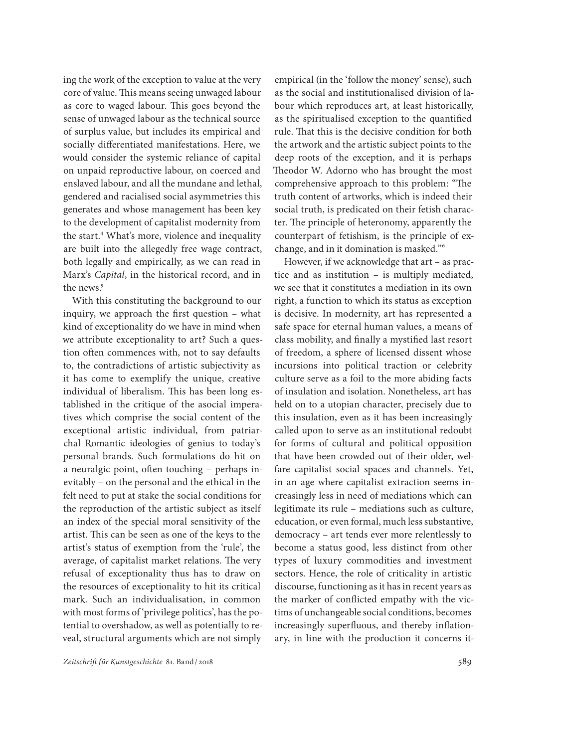ing the work of the exception to value at the very core of value. This means seeing unwaged labour as core to waged labour. This goes beyond the sense of unwaged labour as the technical source of surplus value, but includes its empirical and socially differentiated manifestations. Here, we would consider the systemic reliance of capital on unpaid reproductive labour, on coerced and enslaved labour, and all the mundane and lethal, gendered and racialised social asymmetries this generates and whose management has been key to the development of capitalist modernity from the start.4 What's more, violence and inequality are built into the allegedly free wage contract, both legally and empirically, as we can read in Marx's *Capital*, in the historical record, and in the news.<sup>5</sup>

With this constituting the background to our inquiry, we approach the first question – what kind of exceptionality do we have in mind when we attribute exceptionality to art? Such a question often commences with, not to say defaults to, the contradictions of artistic subjectivity as it has come to exemplify the unique, creative individual of liberalism. This has been long established in the critique of the asocial imperatives which comprise the social content of the exceptional artistic individual, from patriarchal Romantic ideologies of genius to today's personal brands. Such formulations do hit on a neuralgic point, often touching – perhaps inevitably – on the personal and the ethical in the felt need to put at stake the social conditions for the reproduction of the artistic subject as itself an index of the special moral sensitivity of the artist. This can be seen as one of the keys to the artist's status of exemption from the 'rule', the average, of capitalist market relations. The very refusal of exceptionality thus has to draw on the resources of exceptionality to hit its critical mark. Such an individualisation, in common with most forms of 'privilege politics', has the potential to overshadow, as well as potentially to reveal, structural arguments which are not simply

empirical (in the 'follow the money' sense), such as the social and institutionalised division of labour which reproduces art, at least historically, as the spiritualised exception to the quantified rule. That this is the decisive condition for both the artwork and the artistic subject points to the deep roots of the exception, and it is perhaps Theodor W. Adorno who has brought the most comprehensive approach to this problem: "The truth content of artworks, which is indeed their social truth, is predicated on their fetish character. The principle of heteronomy, apparently the counterpart of fetishism, is the principle of exchange, and in it domination is masked."6

However, if we acknowledge that art – as practice and as institution – is multiply mediated, we see that it constitutes a mediation in its own right, a function to which its status as exception is decisive. In modernity, art has represented a safe space for eternal human values, a means of class mobility, and finally a mystified last resort of freedom, a sphere of licensed dissent whose incursions into political traction or celebrity culture serve as a foil to the more abiding facts of insulation and isolation. Nonetheless, art has held on to a utopian character, precisely due to this insulation, even as it has been increasingly called upon to serve as an institutional redoubt for forms of cultural and political opposition that have been crowded out of their older, welfare capitalist social spaces and channels. Yet, in an age where capitalist extraction seems increasingly less in need of mediations which can legitimate its rule – mediations such as culture, education, or even formal, much less substantive, democracy – art tends ever more relentlessly to become a status good, less distinct from other types of luxury commodities and investment sectors. Hence, the role of criticality in artistic discourse, functioning as it has in recent years as the marker of conflicted empathy with the victims of unchangeable social conditions, becomes increasingly superfluous, and thereby inflationary, in line with the production it concerns it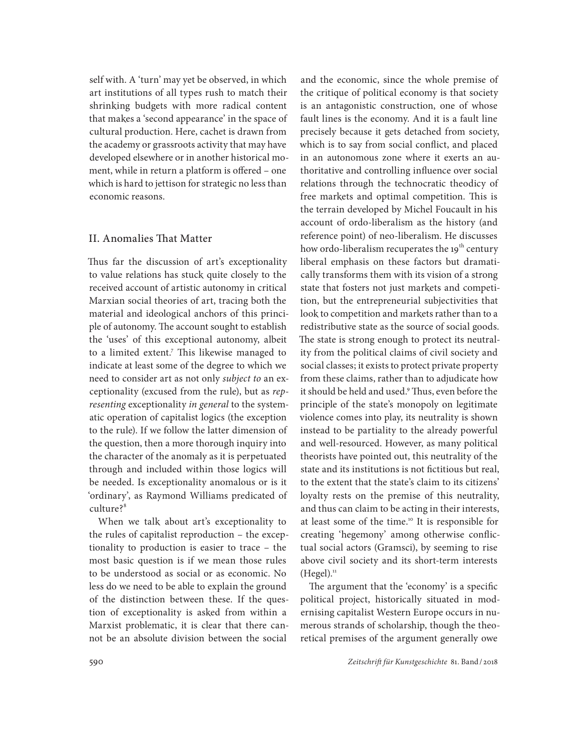self with. A 'turn' may yet be observed, in which art institutions of all types rush to match their shrinking budgets with more radical content that makes a 'second appearance' in the space of cultural production. Here, cachet is drawn from the academy or grassroots activity that may have developed elsewhere or in another historical moment, while in return a platform is offered – one which is hard to jettison for strategic no less than economic reasons.

#### II. Anomalies That Matter

Thus far the discussion of art's exceptionality to value relations has stuck quite closely to the received account of artistic autonomy in critical Marxian social theories of art, tracing both the material and ideological anchors of this principle of autonomy. The account sought to establish the 'uses' of this exceptional autonomy, albeit to a limited extent.7 This likewise managed to indicate at least some of the degree to which we need to consider art as not only *subject to* an exceptionality (excused from the rule), but as *representing* exceptionality *in general* to the systematic operation of capitalist logics (the exception to the rule). If we follow the latter dimension of the question, then a more thorough inquiry into the character of the anomaly as it is perpetuated through and included within those logics will be needed. Is exceptionality anomalous or is it 'ordinary', as Raymond Williams predicated of culture?<sup>8</sup>

When we talk about art's exceptionality to the rules of capitalist reproduction – the exceptionality to production is easier to trace – the most basic question is if we mean those rules to be understood as social or as economic. No less do we need to be able to explain the ground of the distinction between these. If the question of exceptionality is asked from within a Marxist problematic, it is clear that there cannot be an absolute division between the social

and the economic, since the whole premise of the critique of political economy is that society is an antagonistic construction, one of whose fault lines is the economy. And it is a fault line precisely because it gets detached from society, which is to say from social conflict, and placed in an autonomous zone where it exerts an authoritative and controlling influence over social relations through the technocratic theodicy of free markets and optimal competition. This is the terrain developed by Michel Foucault in his account of ordo-liberalism as the history (and reference point) of neo-liberalism. He discusses how ordo-liberalism recuperates the 19<sup>th</sup> century liberal emphasis on these factors but dramatically transforms them with its vision of a strong state that fosters not just markets and competition, but the entrepreneurial subjectivities that look to competition and markets rather than to a redistributive state as the source of social goods. The state is strong enough to protect its neutrality from the political claims of civil society and social classes; it exists to protect private property from these claims, rather than to adjudicate how it should be held and used.<sup>9</sup> Thus, even before the principle of the state's monopoly on legitimate violence comes into play, its neutrality is shown instead to be partiality to the already powerful and well-resourced. However, as many political theorists have pointed out, this neutrality of the state and its institutions is not fictitious but real, to the extent that the state's claim to its citizens' loyalty rests on the premise of this neutrality, and thus can claim to be acting in their interests, at least some of the time.<sup>10</sup> It is responsible for creating 'hegemony' among otherwise conflictual social actors (Gramsci), by seeming to rise above civil society and its short-term interests  $(Hegel).$ <sup>11</sup>

The argument that the 'economy' is a specific political project, historically situated in modernising capitalist Western Europe occurs in numerous strands of scholarship, though the theoretical premises of the argument generally owe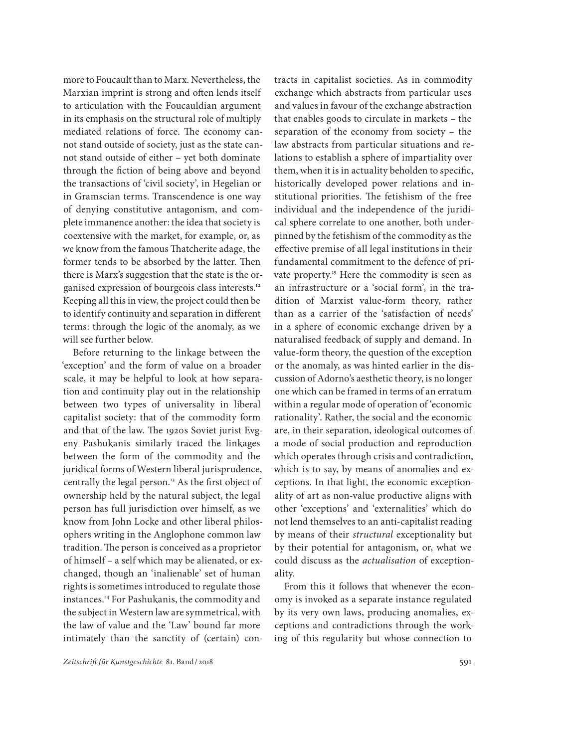more to Foucault than to Marx. Nevertheless, the Marxian imprint is strong and often lends itself to articulation with the Foucauldian argument in its emphasis on the structural role of multiply mediated relations of force. The economy cannot stand outside of society, just as the state cannot stand outside of either – yet both dominate through the fiction of being above and beyond the transactions of 'civil society', in Hegelian or in Gramscian terms. Transcendence is one way of denying constitutive antagonism, and complete immanence another: the idea that society is coextensive with the market, for example, or, as we know from the famous Thatcherite adage, the former tends to be absorbed by the latter. Then there is Marx's suggestion that the state is the organised expression of bourgeois class interests.12 Keeping all this in view, the project could then be to identify continuity and separation in different terms: through the logic of the anomaly, as we will see further below.

Before returning to the linkage between the 'exception' and the form of value on a broader scale, it may be helpful to look at how separation and continuity play out in the relationship between two types of universality in liberal capitalist society: that of the commodity form and that of the law. The 1920s Soviet jurist Evgeny Pashukanis similarly traced the linkages between the form of the commodity and the juridical forms of Western liberal jurisprudence, centrally the legal person.<sup>13</sup> As the first object of ownership held by the natural subject, the legal person has full jurisdiction over himself, as we know from John Locke and other liberal philosophers writing in the Anglophone common law tradition. The person is conceived as a proprietor of himself – a self which may be alienated, or exchanged, though an 'inalienable' set of human rights is sometimes introduced to regulate those instances.14 For Pashukanis, the commodity and the subject in Western law are symmetrical, with the law of value and the 'Law' bound far more intimately than the sanctity of (certain) con-

tracts in capitalist societies. As in commodity exchange which abstracts from particular uses and values in favour of the exchange abstraction that enables goods to circulate in markets – the separation of the economy from society – the law abstracts from particular situations and relations to establish a sphere of impartiality over them, when it is in actuality beholden to specific, historically developed power relations and institutional priorities. The fetishism of the free individual and the independence of the juridical sphere correlate to one another, both underpinned by the fetishism of the commodity as the effective premise of all legal institutions in their fundamental commitment to the defence of private property.<sup>15</sup> Here the commodity is seen as an infrastructure or a 'social form', in the tradition of Marxist value-form theory, rather than as a carrier of the 'satisfaction of needs' in a sphere of economic exchange driven by a naturalised feedback of supply and demand. In value-form theory, the question of the exception or the anomaly, as was hinted earlier in the discussion of Adorno's aesthetic theory, is no longer one which can be framed in terms of an erratum within a regular mode of operation of 'economic rationality'. Rather, the social and the economic are, in their separation, ideological outcomes of a mode of social production and reproduction which operates through crisis and contradiction, which is to say, by means of anomalies and exceptions. In that light, the economic exceptionality of art as non-value productive aligns with other 'exceptions' and 'externalities' which do not lend themselves to an anti-capitalist reading by means of their *structural* exceptionality but by their potential for antagonism, or, what we could discuss as the *actualisation* of exceptionality.

From this it follows that whenever the economy is invoked as a separate instance regulated by its very own laws, producing anomalies, exceptions and contradictions through the working of this regularity but whose connection to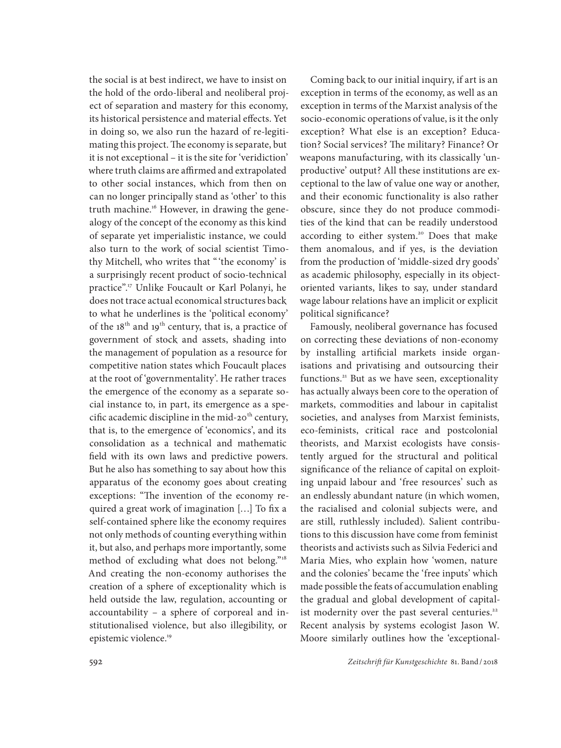the social is at best indirect, we have to insist on the hold of the ordo-liberal and neoliberal project of separation and mastery for this economy, its historical persistence and material effects. Yet in doing so, we also run the hazard of re-legitimating this project. The economy is separate, but it is not exceptional – it is the site for 'veridiction' where truth claims are affirmed and extrapolated to other social instances, which from then on can no longer principally stand as 'other' to this truth machine.<sup>16</sup> However, in drawing the genealogy of the concept of the economy as this kind of separate yet imperialistic instance, we could also turn to the work of social scientist Timothy Mitchell, who writes that "'the economy' is a surprisingly recent product of socio-technical practice".17 Unlike Foucault or Karl Polanyi, he does not trace actual economical structures back to what he underlines is the 'political economy' of the  $18<sup>th</sup>$  and  $19<sup>th</sup>$  century, that is, a practice of government of stock and assets, shading into the management of population as a resource for competitive nation states which Foucault places at the root of 'governmentality'. He rather traces the emergence of the economy as a separate social instance to, in part, its emergence as a specific academic discipline in the mid-20<sup>th</sup> century, that is, to the emergence of 'economics', and its consolidation as a technical and mathematic field with its own laws and predictive powers. But he also has something to say about how this apparatus of the economy goes about creating exceptions: "The invention of the economy required a great work of imagination […] To fix a self-contained sphere like the economy requires not only methods of counting everything within it, but also, and perhaps more importantly, some method of excluding what does not belong."18 And creating the non-economy authorises the creation of a sphere of exceptionality which is held outside the law, regulation, accounting or accountability – a sphere of corporeal and institutionalised violence, but also illegibility, or epistemic violence.<sup>19</sup>

Coming back to our initial inquiry, if art is an exception in terms of the economy, as well as an exception in terms of the Marxist analysis of the socio-economic operations of value, is it the only exception? What else is an exception? Education? Social services? The military? Finance? Or weapons manufacturing, with its classically 'unproductive' output? All these institutions are exceptional to the law of value one way or another, and their economic functionality is also rather obscure, since they do not produce commodities of the kind that can be readily understood according to either system.<sup>20</sup> Does that make them anomalous, and if yes, is the deviation from the production of 'middle-sized dry goods' as academic philosophy, especially in its objectoriented variants, likes to say, under standard wage labour relations have an implicit or explicit political significance?

Famously, neoliberal governance has focused on correcting these deviations of non-economy by installing artificial markets inside organisations and privatising and outsourcing their functions.<sup>21</sup> But as we have seen, exceptionality has actually always been core to the operation of markets, commodities and labour in capitalist societies, and analyses from Marxist feminists, eco-feminists, critical race and postcolonial theorists, and Marxist ecologists have consistently argued for the structural and political significance of the reliance of capital on exploiting unpaid labour and 'free resources' such as an endlessly abundant nature (in which women, the racialised and colonial subjects were, and are still, ruthlessly included). Salient contributions to this discussion have come from feminist theorists and activists such as Silvia Federici and Maria Mies, who explain how 'women, nature and the colonies' became the 'free inputs' which made possible the feats of accumulation enabling the gradual and global development of capitalist modernity over the past several centuries.<sup>22</sup> Recent analysis by systems ecologist Jason W. Moore similarly outlines how the 'exceptional-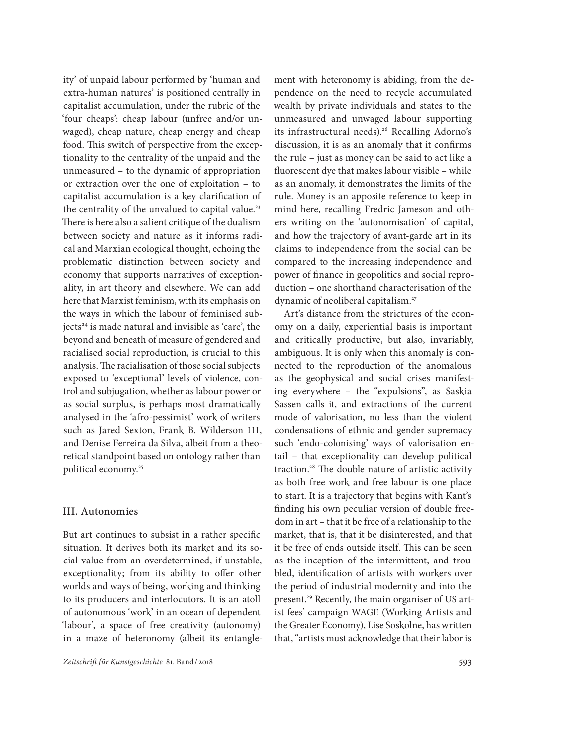ity' of unpaid labour performed by 'human and extra-human natures' is positioned centrally in capitalist accumulation, under the rubric of the 'four cheaps': cheap labour (unfree and/or unwaged), cheap nature, cheap energy and cheap food. This switch of perspective from the exceptionality to the centrality of the unpaid and the unmeasured – to the dynamic of appropriation or extraction over the one of exploitation – to capitalist accumulation is a key clarification of the centrality of the unvalued to capital value.<sup>23</sup> There is here also a salient critique of the dualism between society and nature as it informs radical and Marxian ecological thought, echoing the problematic distinction between society and economy that supports narratives of exceptionality, in art theory and elsewhere. We can add here that Marxist feminism, with its emphasis on the ways in which the labour of feminised subjects<sup>24</sup> is made natural and invisible as 'care', the beyond and beneath of measure of gendered and racialised social reproduction, is crucial to this analysis. The racialisation of those social subjects exposed to 'exceptional' levels of violence, control and subjugation, whether as labour power or as social surplus, is perhaps most dramatically analysed in the 'afro-pessimist' work of writers such as Jared Sexton, Frank B. Wilderson III, and Denise Ferreira da Silva, albeit from a theoretical standpoint based on ontology rather than political economy.<sup>25</sup>

#### III. Autonomies

But art continues to subsist in a rather specific situation. It derives both its market and its social value from an overdetermined, if unstable, exceptionality; from its ability to offer other worlds and ways of being, working and thinking to its producers and interlocutors. It is an atoll of autonomous 'work' in an ocean of dependent 'labour', a space of free creativity (autonomy) in a maze of heteronomy (albeit its entanglement with heteronomy is abiding, from the dependence on the need to recycle accumulated wealth by private individuals and states to the unmeasured and unwaged labour supporting its infrastructural needs).<sup>26</sup> Recalling Adorno's discussion, it is as an anomaly that it confirms the rule – just as money can be said to act like a fluorescent dye that makes labour visible – while as an anomaly, it demonstrates the limits of the rule. Money is an apposite reference to keep in mind here, recalling Fredric Jameson and others writing on the 'autonomisation' of capital, and how the trajectory of avant-garde art in its claims to independence from the social can be compared to the increasing independence and power of finance in geopolitics and social reproduction – one shorthand characterisation of the dynamic of neoliberal capitalism.<sup>27</sup>

Art's distance from the strictures of the economy on a daily, experiential basis is important and critically productive, but also, invariably, ambiguous. It is only when this anomaly is connected to the reproduction of the anomalous as the geophysical and social crises manifesting everywhere – the "expulsions", as Saskia Sassen calls it, and extractions of the current mode of valorisation, no less than the violent condensations of ethnic and gender supremacy such 'endo-colonising' ways of valorisation entail – that exceptionality can develop political traction.28 The double nature of artistic activity as both free work and free labour is one place to start. It is a trajectory that begins with Kant's finding his own peculiar version of double freedom in art – that it be free of a relationship to the market, that is, that it be disinterested, and that it be free of ends outside itself. This can be seen as the inception of the intermittent, and troubled, identification of artists with workers over the period of industrial modernity and into the present.<sup>29</sup> Recently, the main organiser of US artist fees' campaign WAGE (Working Artists and the Greater Economy), Lise Soskolne, has written that, "artists must acknowledge that their labor is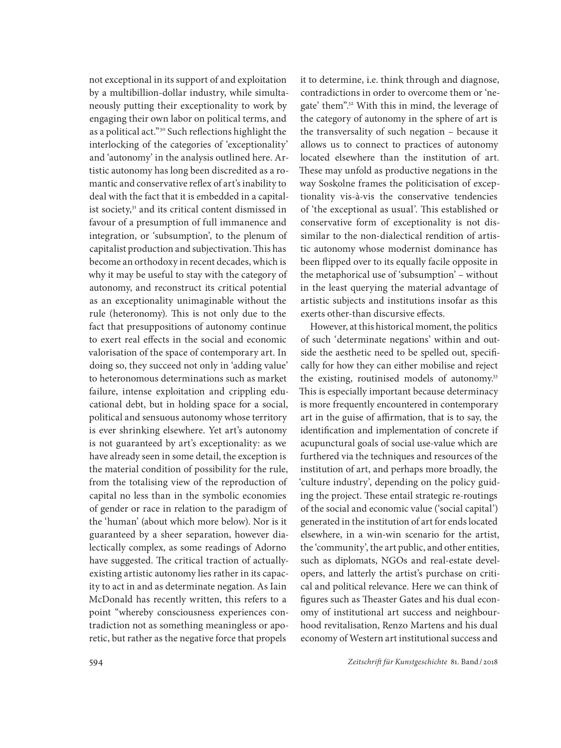not exceptional in its support of and exploitation by a multibillion-dollar industry, while simultaneously putting their exceptionality to work by engaging their own labor on political terms, and as a political act."30 Such reflections highlight the interlocking of the categories of 'exceptionality' and 'autonomy' in the analysis outlined here. Artistic autonomy has long been discredited as a romantic and conservative reflex of art's inability to deal with the fact that it is embedded in a capitalist society,<sup>31</sup> and its critical content dismissed in favour of a presumption of full immanence and integration, or 'subsumption', to the plenum of capitalist production and subjectivation. This has become an orthodoxy in recent decades, which is why it may be useful to stay with the category of autonomy, and reconstruct its critical potential as an exceptionality unimaginable without the rule (heteronomy). This is not only due to the fact that presuppositions of autonomy continue to exert real effects in the social and economic valorisation of the space of contemporary art. In doing so, they succeed not only in 'adding value' to heteronomous determinations such as market failure, intense exploitation and crippling educational debt, but in holding space for a social, political and sensuous autonomy whose territory is ever shrinking elsewhere. Yet art's autonomy is not guaranteed by art's exceptionality: as we have already seen in some detail, the exception is the material condition of possibility for the rule, from the totalising view of the reproduction of capital no less than in the symbolic economies of gender or race in relation to the paradigm of the 'human' (about which more below). Nor is it guaranteed by a sheer separation, however dialectically complex, as some readings of Adorno have suggested. The critical traction of actuallyexisting artistic autonomy lies rather in its capacity to act in and as determinate negation. As Iain McDonald has recently written, this refers to a point "whereby consciousness experiences contradiction not as something meaningless or aporetic, but rather as the negative force that propels

it to determine, i.e. think through and diagnose, contradictions in order to overcome them or 'negate' them".32 With this in mind, the leverage of the category of autonomy in the sphere of art is the transversality of such negation – because it allows us to connect to practices of autonomy located elsewhere than the institution of art. These may unfold as productive negations in the way Soskolne frames the politicisation of exceptionality vis-à-vis the conservative tendencies of 'the exceptional as usual'. This established or conservative form of exceptionality is not dissimilar to the non-dialectical rendition of artistic autonomy whose modernist dominance has been flipped over to its equally facile opposite in the metaphorical use of 'subsumption' – without in the least querying the material advantage of artistic subjects and institutions insofar as this exerts other-than discursive effects.

However, at this historical moment, the politics of such 'determinate negations' within and outside the aesthetic need to be spelled out, specifically for how they can either mobilise and reject the existing, routinised models of autonomy.<sup>33</sup> This is especially important because determinacy is more frequently encountered in contemporary art in the guise of affirmation, that is to say, the identification and implementation of concrete if acupunctural goals of social use-value which are furthered via the techniques and resources of the institution of art, and perhaps more broadly, the 'culture industry', depending on the policy guiding the project. These entail strategic re-routings of the social and economic value ('social capital') generated in the institution of art for ends located elsewhere, in a win-win scenario for the artist, the 'community', the art public, and other entities, such as diplomats, NGOs and real-estate developers, and latterly the artist's purchase on critical and political relevance. Here we can think of figures such as Theaster Gates and his dual economy of institutional art success and neighbourhood revitalisation, Renzo Martens and his dual economy of Western art institutional success and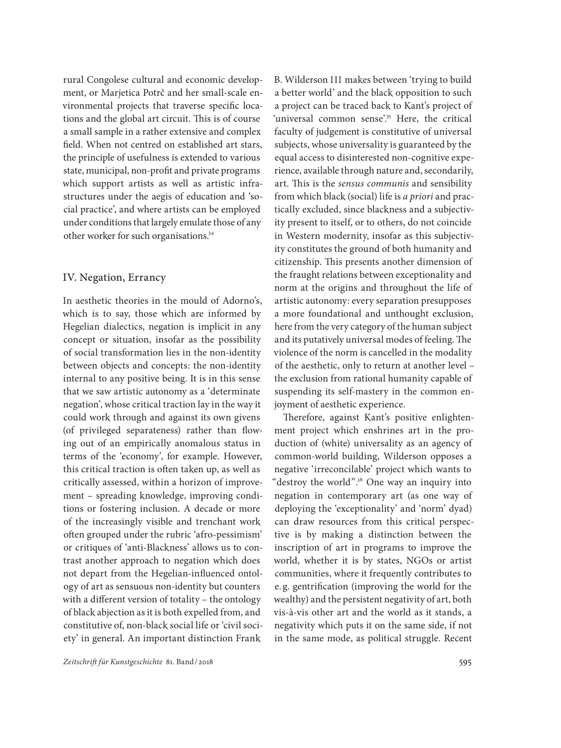rural Congolese cultural and economic development, or Marjetica Potrč and her small-scale environmental projects that traverse specific locations and the global art circuit. This is of course a small sample in a rather extensive and complex field. When not centred on established art stars, the principle of usefulness is extended to various state, municipal, non-profit and private programs which support artists as well as artistic infrastructures under the aegis of education and 'social practice', and where artists can be employed under conditions that largely emulate those of any other worker for such organisations.<sup>34</sup>

#### IV. Negation, Errancy

In aesthetic theories in the mould of Adorno's, which is to say, those which are informed by Hegelian dialectics, negation is implicit in any concept or situation, insofar as the possibility of social transformation lies in the non-identity between objects and concepts: the non-identity internal to any positive being. It is in this sense that we saw artistic autonomy as a 'determinate negation', whose critical traction lay in the way it could work through and against its own givens (of privileged separateness) rather than flowing out of an empirically anomalous status in terms of the 'economy', for example. However, this critical traction is often taken up, as well as critically assessed, within a horizon of improvement – spreading knowledge, improving conditions or fostering inclusion. A decade or more of the increasingly visible and trenchant work often grouped under the rubric 'afro-pessimism' or critiques of 'anti-Blackness' allows us to contrast another approach to negation which does not depart from the Hegelian-influenced ontology of art as sensuous non-identity but counters with a different version of totality – the ontology of black abjection as it is both expelled from, and constitutive of, non-black social life or 'civil society' in general. An important distinction Frank

B. Wilderson III makes between 'trying to build a better world' and the black opposition to such a project can be traced back to Kant's project of 'universal common sense'.<sup>35</sup> Here, the critical faculty of judgement is constitutive of universal subjects, whose universality is guaranteed by the equal access to disinterested non-cognitive experience, available through nature and, secondarily, art. This is the *sensus communis* and sensibility from which black (social) life is *a priori* and practically excluded, since blackness and a subjectivity present to itself, or to others, do not coincide in Western modernity, insofar as this subjectivity constitutes the ground of both humanity and citizenship. This presents another dimension of the fraught relations between exceptionality and norm at the origins and throughout the life of artistic autonomy: every separation presupposes a more foundational and unthought exclusion, here from the very category of the human subject and its putatively universal modes of feeling. The violence of the norm is cancelled in the modality of the aesthetic, only to return at another level – the exclusion from rational humanity capable of suspending its self-mastery in the common enjoyment of aesthetic experience.

Therefore, against Kant's positive enlightenment project which enshrines art in the production of (white) universality as an agency of common-world building, Wilderson opposes a negative 'irreconcilable' project which wants to "destroy the world".36 One way an inquiry into negation in contemporary art (as one way of deploying the 'exceptionality' and 'norm' dyad) can draw resources from this critical perspective is by making a distinction between the inscription of art in programs to improve the world, whether it is by states, NGOs or artist communities, where it frequently contributes to e. g. gentrification (improving the world for the wealthy) and the persistent negativity of art, both vis-à-vis other art and the world as it stands, a negativity which puts it on the same side, if not in the same mode, as political struggle. Recent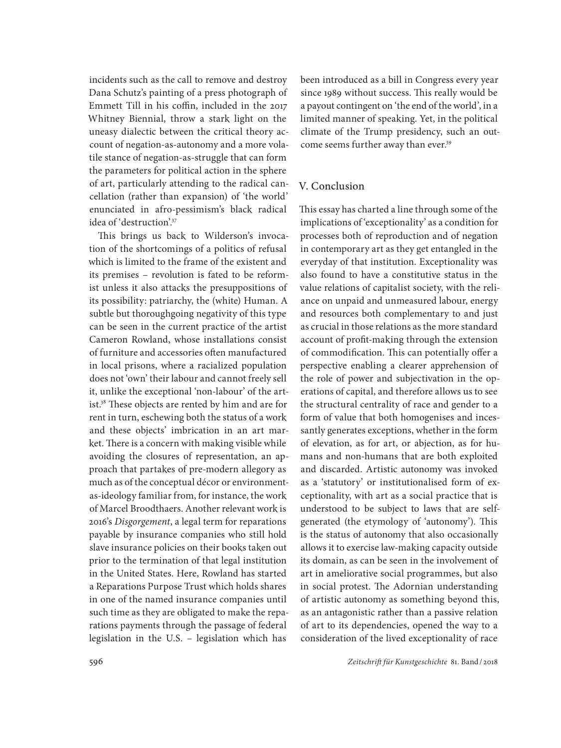incidents such as the call to remove and destroy Dana Schutz's painting of a press photograph of Emmett Till in his coffin, included in the 2017 Whitney Biennial, throw a stark light on the uneasy dialectic between the critical theory account of negation-as-autonomy and a more volatile stance of negation-as-struggle that can form the parameters for political action in the sphere of art, particularly attending to the radical cancellation (rather than expansion) of 'the world' enunciated in afro-pessimism's black radical idea of 'destruction'.<sup>37</sup>

This brings us back to Wilderson's invocation of the shortcomings of a politics of refusal which is limited to the frame of the existent and its premises – revolution is fated to be reformist unless it also attacks the presuppositions of its possibility: patriarchy, the (white) Human. A subtle but thoroughgoing negativity of this type can be seen in the current practice of the artist Cameron Rowland, whose installations consist of furniture and accessories often manufactured in local prisons, where a racialized population does not 'own' their labour and cannot freely sell it, unlike the exceptional 'non-labour' of the artist.38 These objects are rented by him and are for rent in turn, eschewing both the status of a work and these objects' imbrication in an art market. There is a concern with making visible while avoiding the closures of representation, an approach that partakes of pre-modern allegory as much as of the conceptual décor or environmentas-ideology familiar from, for instance, the work of Marcel Broodthaers. Another relevant work is 2016's *Disgorgement*, a legal term for reparations payable by insurance companies who still hold slave insurance policies on their books taken out prior to the termination of that legal institution in the United States. Here, Rowland has started a Reparations Purpose Trust which holds shares in one of the named insurance companies until such time as they are obligated to make the reparations payments through the passage of federal legislation in the U.S. – legislation which has

been introduced as a bill in Congress every year since 1989 without success. This really would be a payout contingent on 'the end of the world', in a limited manner of speaking. Yet, in the political climate of the Trump presidency, such an outcome seems further away than ever.<sup>39</sup>

#### V. Conclusion

This essay has charted a line through some of the implications of 'exceptionality' as a condition for processes both of reproduction and of negation in contemporary art as they get entangled in the everyday of that institution. Exceptionality was also found to have a constitutive status in the value relations of capitalist society, with the reliance on unpaid and unmeasured labour, energy and resources both complementary to and just as crucial in those relations as the more standard account of profit-making through the extension of commodification. This can potentially offer a perspective enabling a clearer apprehension of the role of power and subjectivation in the operations of capital, and therefore allows us to see the structural centrality of race and gender to a form of value that both homogenises and incessantly generates exceptions, whether in the form of elevation, as for art, or abjection, as for humans and non-humans that are both exploited and discarded. Artistic autonomy was invoked as a 'statutory' or institutionalised form of exceptionality, with art as a social practice that is understood to be subject to laws that are selfgenerated (the etymology of 'autonomy'). This is the status of autonomy that also occasionally allows it to exercise law-making capacity outside its domain, as can be seen in the involvement of art in ameliorative social programmes, but also in social protest. The Adornian understanding of artistic autonomy as something beyond this, as an antagonistic rather than a passive relation of art to its dependencies, opened the way to a consideration of the lived exceptionality of race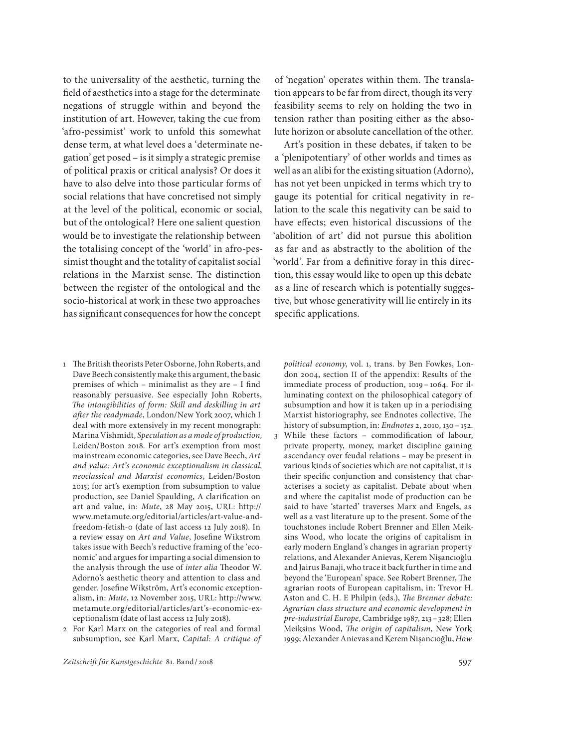to the universality of the aesthetic, turning the field of aesthetics into a stage for the determinate negations of struggle within and beyond the institution of art. However, taking the cue from 'afro-pessimist' work to unfold this somewhat dense term, at what level does a 'determinate negation' get posed – is it simply a strategic premise of political praxis or critical analysis? Or does it have to also delve into those particular forms of social relations that have concretised not simply at the level of the political, economic or social, but of the ontological? Here one salient question would be to investigate the relationship between the totalising concept of the 'world' in afro-pessimist thought and the totality of capitalist social relations in the Marxist sense. The distinction between the register of the ontological and the socio-historical at work in these two approaches has significant consequences for how the concept

- 1 The British theorists Peter Osborne, John Roberts, and Dave Beech consistently make this argument, the basic premises of which – minimalist as they are – I find reasonably persuasive. See especially John Roberts, *The intangibilities of form: Skill and deskilling in art after the readymade*, London/New York 2007, which I deal with more extensively in my recent monograph: Marina Vishmidt, *Speculation as a mode of production,*  Leiden/Boston 2018. For art's exemption from most mainstream economic categories, see Dave Beech, *Art and value: Art's economic exceptionalism in classical, neoclassical and Marxist economics*, Leiden/Boston 2015; for art's exemption from subsumption to value production, see Daniel Spaulding, A clarification on art and value, in: *Mute*, 28 May 2015, URL: http:// www.metamute.org/editorial/articles/art-value-andfreedom-fetish-0 (date of last access 12 July 2018). In a review essay on *Art and Value*, Josefine Wikstrom takes issue with Beech's reductive framing of the 'economic' and argues for imparting a social dimension to the analysis through the use of *inter alia* Theodor W. Adorno's aesthetic theory and attention to class and gender. Josefine Wikström, Art's economic exceptionalism, in: *Mute*, 12 November 2015, URL: http://www. metamute.org/editorial/articles/art's-economic-exceptionalism (date of last access 12 July 2018).
- 2 For Karl Marx on the categories of real and formal subsumption, see Karl Marx, *Capital: A critique of*

of 'negation' operates within them. The translation appears to be far from direct, though its very feasibility seems to rely on holding the two in tension rather than positing either as the absolute horizon or absolute cancellation of the other.

Art's position in these debates, if taken to be a 'plenipotentiary' of other worlds and times as well as an alibi for the existing situation (Adorno), has not yet been unpicked in terms which try to gauge its potential for critical negativity in relation to the scale this negativity can be said to have effects; even historical discussions of the 'abolition of art' did not pursue this abolition as far and as abstractly to the abolition of the 'world'. Far from a definitive foray in this direction, this essay would like to open up this debate as a line of research which is potentially suggestive, but whose generativity will lie entirely in its specific applications.

*political economy*, vol. 1, trans. by Ben Fowkes, London 2004, section II of the appendix: Results of the immediate process of production, 1019 – 1064. For illuminating context on the philosophical category of subsumption and how it is taken up in a periodising Marxist historiography, see Endnotes collective, The history of subsumption, in: *Endnotes* 2, 2010, 130 – 152.

3 While these factors – commodification of labour, private property, money, market discipline gaining ascendancy over feudal relations – may be present in various kinds of societies which are not capitalist, it is their specific conjunction and consistency that characterises a society as capitalist. Debate about when and where the capitalist mode of production can be said to have 'started' traverses Marx and Engels, as well as a vast literature up to the present. Some of the touchstones include Robert Brenner and Ellen Meiksins Wood, who locate the origins of capitalism in early modern England's changes in agrarian property relations, and Alexander Anievas, Kerem Nişancıoğlu and Jairus Banaji, who trace it back further in time and beyond the 'European' space. See Robert Brenner, The agrarian roots of European capitalism, in: Trevor H. Aston and C. H. E Philpin (eds.), *The Brenner debate: Agrarian class structure and economic development in pre-industrial Europe*, Cambridge 1987, 213 – 328; Ellen Meiksins Wood, *The origin of capitalism*, New York 1999; Alexander Anievas and Kerem Nişancıoğlu, *How*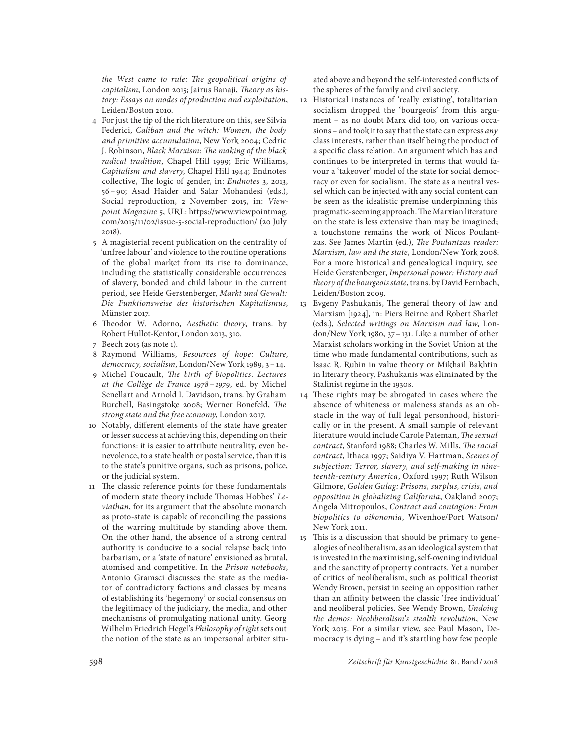*the West came to rule: The geopolitical origins of capitalism*, London 2015; Jairus Banaji, *Theory as history: Essays on modes of production and exploitation*, Leiden/Boston 2010.

- 4 For just the tip of the rich literature on this, see Silvia Federici, *Caliban and the witch: Women, the body and primitive accumulation*, New York 2004; Cedric J. Robinson, *Black Marxism: The making of the black radical tradition*, Chapel Hill 1999; Eric Williams, *Capitalism and slavery*, Chapel Hill 1944; Endnotes collective, The logic of gender, in: *Endnotes* 3, 2013, 56 – 90; Asad Haider and Salar Mohandesi (eds.), Social reproduction, 2 November 2015, in: *Viewpoint Magazine* 5, URL: https://www.viewpointmag. com/2015/11/02/issue-5-social-reproduction/ (20 July 2018).
- 5 A magisterial recent publication on the centrality of 'unfree labour' and violence to the routine operations of the global market from its rise to dominance, including the statistically considerable occurrences of slavery, bonded and child labour in the current period, see Heide Gerstenberger, *Markt und Gewalt: Die Funktionsweise des historischen Kapitalismus*, Münster 2017.
- 6 Theodor W. Adorno, *Aesthetic theory*, trans. by Robert Hullot-Kentor, London 2013, 310.
- 7 Beech 2015 (as note 1).
- 8 Raymond Williams, *Resources of hope: Culture, democracy, socialism*, London/New York 1989, 3 – 14.
- 9 Michel Foucault, *The birth of biopolitics*: *Lectures at the Collège de France 1978 – 1979*, ed. by Michel Senellart and Arnold I. Davidson, trans. by Graham Burchell, Basingstoke 2008; Werner Bonefeld, *The strong state and the free economy*, London 2017.
- 10 Notably, different elements of the state have greater or lesser success at achieving this, depending on their functions: it is easier to attribute neutrality, even benevolence, to a state health or postal service, than it is to the state's punitive organs, such as prisons, police, or the judicial system.
- 11 The classic reference points for these fundamentals of modern state theory include Thomas Hobbes' *Leviathan*, for its argument that the absolute monarch as proto-state is capable of reconciling the passions of the warring multitude by standing above them. On the other hand, the absence of a strong central authority is conducive to a social relapse back into barbarism, or a 'state of nature' envisioned as brutal, atomised and competitive. In the *Prison notebooks*, Antonio Gramsci discusses the state as the mediator of contradictory factions and classes by means of establishing its 'hegemony' or social consensus on the legitimacy of the judiciary, the media, and other mechanisms of promulgating national unity. Georg Wilhelm Friedrich Hegel's *Philosophy of right* sets out the notion of the state as an impersonal arbiter situ-

ated above and beyond the self-interested conflicts of the spheres of the family and civil society.

- 12 Historical instances of 'really existing', totalitarian socialism dropped the 'bourgeois' from this argument – as no doubt Marx did too, on various occasions – and took it to say that the state can express *any*  class interests, rather than itself being the product of a specific class relation. An argument which has and continues to be interpreted in terms that would favour a 'takeover' model of the state for social democracy or even for socialism. The state as a neutral vessel which can be injected with any social content can be seen as the idealistic premise underpinning this pragmatic-seeming approach. The Marxian literature on the state is less extensive than may be imagined; a touchstone remains the work of Nicos Poulantzas. See James Martin (ed.), *The Poulantzas reader: Marxism, law and the state*, London/New York 2008. For a more historical and genealogical inquiry, see Heide Gerstenberger, *Impersonal power: History and theory of the bourgeois state*, trans. by David Fernbach, Leiden/Boston 2009.
- 13 Evgeny Pashukanis, The general theory of law and Marxism [1924], in: Piers Beirne and Robert Sharlet (eds.), *Selected writings on Marxism and law*, London/New York 1980, 37 – 131. Like a number of other Marxist scholars working in the Soviet Union at the time who made fundamental contributions, such as Isaac R. Rubin in value theory or Mikhail Bakhtin in literary theory, Pashukanis was eliminated by the Stalinist regime in the 1930s.
- 14 These rights may be abrogated in cases where the absence of whiteness or maleness stands as an obstacle in the way of full legal personhood, historically or in the present. A small sample of relevant literature would include Carole Pateman, *The sexual contract*, Stanford 1988; Charles W. Mills, *The racial contract*, Ithaca 1997; Saidiya V. Hartman, *Scenes of subjection: Terror, slavery, and self-making in nineteenth-century America*, Oxford 1997; Ruth Wilson Gilmore, *Golden Gulag: Prisons, surplus, crisis, and opposition in globalizing California*, Oakland 2007; Angela Mitropoulos, *Contract and contagion: From biopolitics to oikonomia*, Wivenhoe/Port Watson/ New York 2011.
- 15 This is a discussion that should be primary to genealogies of neoliberalism, as an ideological system that is invested in the maximising, self-owning individual and the sanctity of property contracts. Yet a number of critics of neoliberalism, such as political theorist Wendy Brown, persist in seeing an opposition rather than an affinity between the classic 'free individual' and neoliberal policies. See Wendy Brown, *Undoing the demos: Neoliberalism's stealth revolution*, New York 2015. For a similar view, see Paul Mason, Democracy is dying – and it's startling how few people

598 *Zeitschrift für Kunstgeschichte* 81. Band/ 2018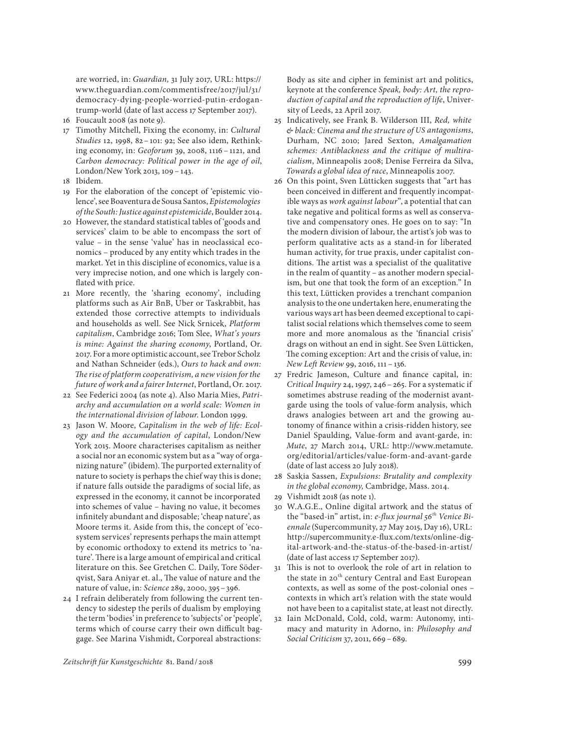are worried, in: *Guardian,* 31 July 2017, URL: https:// www.theguardian.com/commentisfree/2017/jul/31/ democracy-dying-people-worried-putin-erdogantrump-world (date of last access 17 September 2017).

- 16 Foucault 2008 (as note 9).
- 17 Timothy Mitchell, Fixing the economy, in: *Cultural Studies* 12, 1998, 82 – 101: 92; See also idem, Rethinking economy, in: *Geoforum* 39, 2008, 1116 – 1121, and *Carbon democracy: Political power in the age of oil*, London/New York 2013, 109 – 143.
- 18 Ibidem.
- 19 For the elaboration of the concept of 'epistemic violence', see Boaventura de Sousa Santos, *Epistemologies of the South: Justice against epistemicide*, Boulder 2014.
- 20 However, the standard statistical tables of 'goods and services' claim to be able to encompass the sort of value – in the sense 'value' has in neoclassical economics – produced by any entity which trades in the market. Yet in this discipline of economics, value is a very imprecise notion, and one which is largely conflated with price.
- 21 More recently, the 'sharing economy', including platforms such as Air BnB, Uber or Taskrabbit, has extended those corrective attempts to individuals and households as well. See Nick Srnicek, *Platform capitalism*, Cambridge 2016; Tom Slee, *What's yours is mine: Against the sharing economy*, Portland, Or. 2017. For a more optimistic account, see Trebor Scholz and Nathan Schneider (eds.), *Ours to hack and own: The rise of platform cooperativism, a new vision for the future of work and a fairer Internet*, Portland, Or. 2017.
- 22 See Federici 2004 (as note 4). Also Maria Mies, *Patriarchy and accumulation on a world scale: Women in the international division of labour*. London 1999.
- 23 Jason W. Moore, *Capitalism in the web of life: Ecology and the accumulation of capital*, London/New York 2015. Moore characterises capitalism as neither a social nor an economic system but as a "way of organizing nature" (ibidem). The purported externality of nature to society is perhaps the chief way this is done; if nature falls outside the paradigms of social life, as expressed in the economy, it cannot be incorporated into schemes of value – having no value, it becomes infinitely abundant and disposable; 'cheap nature', as Moore terms it. Aside from this, the concept of 'ecosystem services' represents perhaps the main attempt by economic orthodoxy to extend its metrics to 'nature'. There is a large amount of empirical and critical literature on this. See Gretchen C. Daily, Tore Söderqvist, Sara Aniyar et. al., The value of nature and the nature of value, in: *Science* 289, 2000, 395 – 396.
- 24 I refrain deliberately from following the current tendency to sidestep the perils of dualism by employing the term 'bodies' in preference to 'subjects' or 'people', terms which of course carry their own difficult baggage. See Marina Vishmidt, Corporeal abstractions:

Body as site and cipher in feminist art and politics, keynote at the conference *Speak, body: Art, the reproduction of capital and the reproduction of life*, University of Leeds, 22 April 2017.

- 25 Indicatively, see Frank B. Wilderson III, *Red, white & black: Cinema and the structure of US antagonisms*, Durham, NC 2010; Jared Sexton, *Amalgamation schemes: Antiblackness and the critique of multiracialism*, Minneapolis 2008; Denise Ferreira da Silva, *Towards a global idea of race*, Minneapolis 2007.
- 26 On this point, Sven Lütticken suggests that "art has been conceived in different and frequently incompatible ways as *work against labour*", a potential that can take negative and political forms as well as conservative and compensatory ones. He goes on to say: "In the modern division of labour, the artist's job was to perform qualitative acts as a stand-in for liberated human activity, for true praxis, under capitalist conditions. The artist was a specialist of the qualitative in the realm of quantity – as another modern specialism, but one that took the form of an exception." In this text, Lütticken provides a trenchant companion analysis to the one undertaken here, enumerating the various ways art has been deemed exceptional to capitalist social relations which themselves come to seem more and more anomalous as the 'financial crisis' drags on without an end in sight. See Sven Lütticken, The coming exception: Art and the crisis of value, in: *New Left Review* 99, 2016, 111 – 136.
- 27 Fredric Jameson, Culture and finance capital, in: *Critical Inquiry* 24, 1997, 246 – 265. For a systematic if sometimes abstruse reading of the modernist avantgarde using the tools of value-form analysis, which draws analogies between art and the growing autonomy of finance within a crisis-ridden history, see Daniel Spaulding, Value-form and avant-garde, in: *Mute*, 27 March 2014, URL: http://www.metamute. org/editorial/articles/value-form-and-avant-garde (date of last access 20 July 2018).
- 28 Saskia Sassen, *Expulsions: Brutality and complexity in the global economy,* Cambridge, Mass. 2014.
- 29 Vishmidt 2018 (as note 1).
- 30 W.A.G.E., Online digital artwork and the status of the "based-in" artist, in: *e-flux journal 56th Venice Biennale* (Supercommunity, 27 May 2015, Day 16), URL: http://supercommunity.e-flux.com/texts/online-digital-artwork-and-the-status-of-the-based-in-artist/ (date of last access 17 September 2017).
- 31 This is not to overlook the role of art in relation to the state in 20<sup>th</sup> century Central and East European contexts, as well as some of the post-colonial ones – contexts in which art's relation with the state would not have been to a capitalist state, at least not directly.
- 32 Iain McDonald, Cold, cold, warm: Autonomy, intimacy and maturity in Adorno, in: *Philosophy and Social Criticism* 37, 2011, 669 – 689.

*Zeitschrift für Kunstgeschichte* 81. Band/ 2018 599